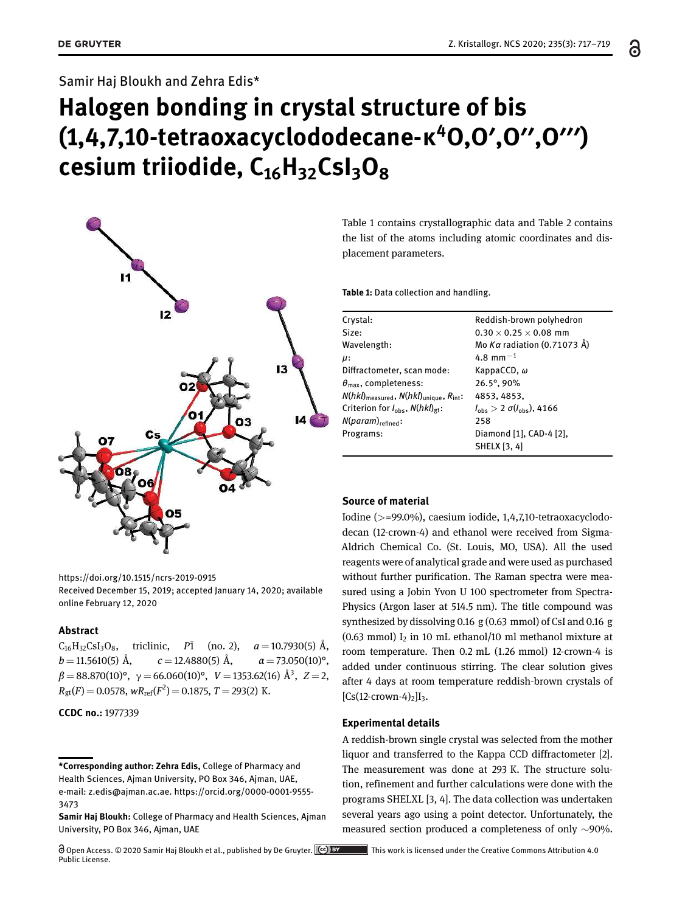# Samir Haj Bloukh and Zehra Edis\*

# **Halogen bonding in crystal structure of bis (1,4,7,10-tetraoxacyclododecane-κ<sup>4</sup>O,O′,O′′,O′′′) cesium triiodide, C16H32CsI3O<sup>8</sup>**



https://doi.org/10.1515/ncrs-2019-0915

Received December 15, 2019; accepted January 14, 2020; available online February 12, 2020

### **Abstract**

 $C_{16}H_{32}CsI_3O_8$ , triclinic, *P*<sup>1</sup> (no. 2), *a* = 10.7930(5) Å,  $b = 11.5610(5)$  Å,  $c = 12.4880(5)$  Å,  $\alpha = 73.050(10)$ °, *β* = 88.870(10)°, γ = 66.060(10)°, *V* = 1353.62(16) Å<sup>3</sup> , *Z* = 2,  $R_{gt}(F) = 0.0578$ ,  $wR_{ref}(F^2) = 0.1875$ ,  $T = 293(2)$  K.

**CCDC no.:** 1977339

Table 1 contains crystallographic data and Table 2 contains the list of the atoms including atomic coordinates and displacement parameters.

**Table 1:** Data collection and handling.

| Reddish-brown polyhedron<br>$0.30 \times 0.25 \times 0.08$ mm |
|---------------------------------------------------------------|
|                                                               |
|                                                               |
| Mo Kα radiation (0.71073 Å)                                   |
| 4.8 mm <sup><math>-1</math></sup>                             |
| KappaCCD, $\omega$                                            |
| 26.5°, 90%                                                    |
| 4853, 4853,                                                   |
| $l_{\text{obs}} > 2 \sigma(l_{\text{obs}})$ , 4166            |
| 258                                                           |
| Diamond [1], CAD-4 [2],                                       |
| <b>SHELX [3, 4]</b>                                           |
|                                                               |

#### **Source of material**

Iodine (>=99.0%), caesium iodide, 1,4,7,10-tetraoxacyclododecan (12-crown-4) and ethanol were received from Sigma-Aldrich Chemical Co. (St. Louis, MO, USA). All the used reagents were of analytical grade and were used as purchased without further purification. The Raman spectra were measured using a Jobin Yvon U 100 spectrometer from Spectra-Physics (Argon laser at 514.5 nm). The title compound was synthesized by dissolving 0.16 g (0.63 mmol) of CsI and 0.16 g (0.63 mmol)  $I_2$  in 10 mL ethanol/10 ml methanol mixture at room temperature. Then 0.2 mL (1.26 mmol) 12-crown-4 is added under continuous stirring. The clear solution gives after 4 days at room temperature reddish-brown crystals of  $[Cs(12-crown-4)<sub>2</sub>]I<sub>3</sub>$ .

#### **Experimental details**

A reddish-brown single crystal was selected from the mother liquor and transferred to the Kappa CCD diffractometer [2]. The measurement was done at 293 K. The structure solution, refinement and further calculations were done with the programs SHELXL [3, 4]. The data collection was undertaken several years ago using a point detector. Unfortunately, the measured section produced a completeness of only ∼90%.

**<sup>\*</sup>Corresponding author: Zehra Edis,** College of Pharmacy and Health Sciences, Ajman University, PO Box 346, Ajman, UAE, e-mail: z.edis@ajman.ac.ae. https://orcid.org/0000-0001-9555- 3473

**Samir Haj Bloukh:** College of Pharmacy and Health Sciences, Ajman University, PO Box 346, Ajman, UAE

Open Access. © 2020 Samir Haj Bloukh et al., published by De Gruyter. <sup>[cc]</sup> **BY** This work is licensed under the Creative Commons Attribution 4.0 Public License.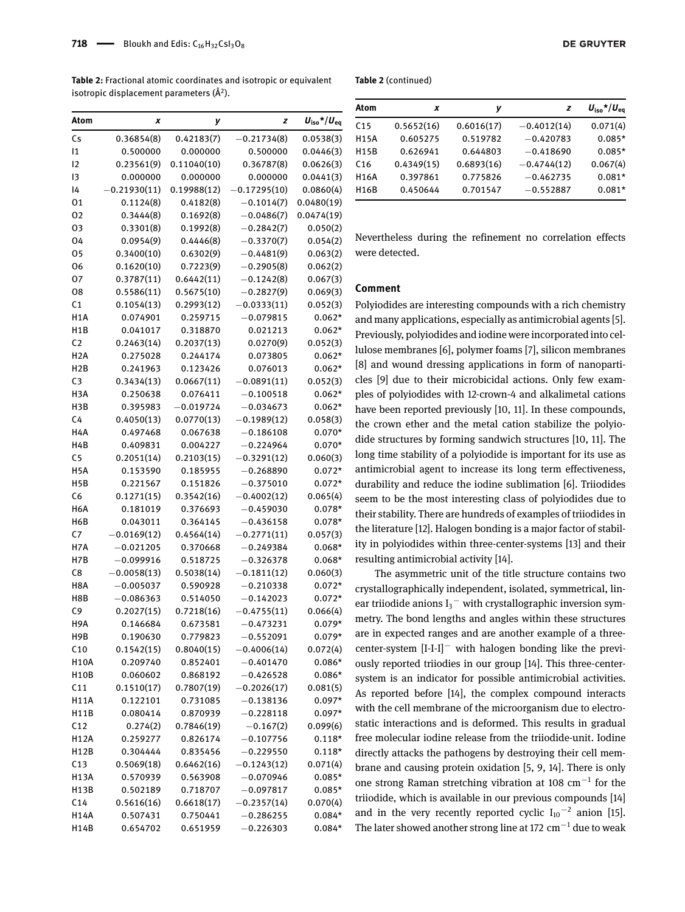**718**  $\longrightarrow$  Bloukh and Edis:  $C_{16}H_{32}CsI_3O_8$ 

**Table 2:** Fractional atomic coordinates and isotropic or equivalent isotropic displacement parameters (Å<sup>2</sup>).

| Atom             | x             | у           | z             | $U_{\text{iso}}* / U_{\text{eq}}$ |
|------------------|---------------|-------------|---------------|-----------------------------------|
| Cs               | 0.36854(8)    | 0.42183(7)  | $-0.21734(8)$ | 0.0538(3)                         |
| 11               | 0.500000      | 0.000000    | 0.500000      | 0.0446(3)                         |
| 12               | 0.23561(9)    | 0.11040(10) | 0.36787(8)    | 0.0626(3)                         |
| 13               | 0.000000      | 0.000000    | 0.000000      | 0.0441(3)                         |
| 14               | 0.21930(11)   | 0.19988(12) | 0.17295(10)   | 0.0860(4)                         |
| 01               | 0.1124(8)     | 0.4182(8)   | $-0.1014(7)$  | 0.0480(19)                        |
| 02               | 0.3444(8)     | 0.1692(8)   | $-0.0486(7)$  | 0.0474(19)                        |
| 03               | 0.3301(8)     | 0.1992(8)   | $-0.2842(7)$  | 0.050(2)                          |
| 04               | 0.0954(9)     | 0.4446(8)   | $-0.3370(7)$  | 0.054(2)                          |
| 05               | 0.3400(10)    | 0.6302(9)   | $-0.4481(9)$  | 0.063(2)                          |
| 06               | 0.1620(10)    | 0.7223(9)   | $-0.2905(8)$  | 0.062(2)                          |
| 07               | 0.3787(11)    | 0.6442(11)  | $-0.1242(8)$  | 0.067(3)                          |
| 08               | 0.5586(11)    | 0.5675(10)  | $-0.2827(9)$  | 0.069(3)                          |
| C <sub>1</sub>   | 0.1054(13)    | 0.2993(12)  | $-0.0333(11)$ | 0.052(3)                          |
| H <sub>1</sub> A | 0.074901      | 0.259715    | $-0.079815$   | $0.062*$                          |
| H <sub>1</sub> B | 0.041017      | 0.318870    | 0.021213      | $0.062*$                          |
| C <sub>2</sub>   | 0.2463(14)    | 0.2037(13)  | 0.0270(9)     | 0.052(3)                          |
| H2A              | 0.275028      | 0.244174    | 0.073805      | $0.062*$                          |
| H <sub>2</sub> B | 0.241963      | 0.123426    | 0.076013      | $0.062*$                          |
| C <sub>3</sub>   | 0.3434(13)    | 0.0667(11)  | $-0.0891(11)$ | 0.052(3)                          |
| H3A              | 0.250638      | 0.076411    | $-0.100518$   | $0.062*$                          |
| H3B              | 0.395983      | $-0.019724$ | $-0.034673$   | $0.062*$                          |
| C <sub>4</sub>   | 0.4050(13)    | 0.0770(13)  | $-0.1989(12)$ | 0.058(3)                          |
| H4A              | 0.497468      | 0.067638    | $-0.186108$   | $0.070*$                          |
| H4B              | 0.409831      | 0.004227    | $-0.224964$   | $0.070*$                          |
| C5               | 0.2051(14)    | 0.2103(15)  | $-0.3291(12)$ | 0.060(3)                          |
| H <sub>5</sub> A | 0.153590      | 0.185955    | $-0.268890$   | $0.072*$                          |
| H <sub>5</sub> B | 0.221567      | 0.151826    | $-0.375010$   | $0.072*$                          |
| C6               | 0.1271(15)    | 0.3542(16)  | $-0.4002(12)$ | 0.065(4)                          |
| H6A              | 0.181019      | 0.376693    | $-0.459030$   | $0.078*$                          |
| H6B              | 0.043011      | 0.364145    | $-0.436158$   | $0.078*$                          |
| C7               | $-0.0169(12)$ | 0.4564(14)  | $-0.2771(11)$ | 0.057(3)                          |
| H7A              | $-0.021205$   | 0.370668    | $-0.249384$   | $0.068*$                          |
| H7B              | $-0.099916$   | 0.518725    | $-0.326378$   | $0.068*$                          |
| C8               | $-0.0058(13)$ | 0.5038(14)  | $-0.1811(12)$ | 0.060(3)                          |
| H8A              | $-0.005037$   | 0.590928    | $-0.210338$   | $0.072*$                          |
| H8B              | $-0.086363$   | 0.514050    | $-0.142023$   | $0.072*$                          |
| C <sub>9</sub>   | 0.2027(15)    | 0.7218(16)  | $-0.4755(11)$ | 0.066(4)                          |
| H9A              | 0.146684      | 0.673581    | $-0.473231$   | $0.079*$                          |
| H9B              | 0.190630      | 0.779823    | $-0.552091$   | $0.079*$                          |
| C10              | 0.1542(15)    | 0.8040(15)  | $-0.4006(14)$ | 0.072(4)                          |
| H10A             | 0.209740      | 0.852401    | $-0.401470$   | $0.086*$                          |
| H10B             | 0.060602      | 0.868192    | $-0.426528$   | $0.086*$                          |
| C <sub>11</sub>  | 0.1510(17)    | 0.7807(19)  | $-0.2026(17)$ | 0.081(5)                          |
| H11A             | 0.122101      | 0.731085    | $-0.138136$   | $0.097*$                          |
| H11B             | 0.080414      | 0.870939    | $-0.228118$   | $0.097*$                          |
| C12              | 0.274(2)      | 0.7846(19)  | $-0.167(2)$   | 0.099(6)                          |
| H12A             | 0.259277      | 0.826174    | $-0.107756$   | $0.118*$                          |
| H12B             | 0.304444      | 0.835456    | $-0.229550$   | $0.118*$                          |
| C13              | 0.5069(18)    | 0.6462(16)  | $-0.1243(12)$ | 0.071(4)                          |
| H13A             | 0.570939      | 0.563908    | $-0.070946$   | $0.085*$                          |
| H13B             | 0.502189      | 0.718707    | $-0.097817$   | $0.085*$                          |
| C <sub>14</sub>  | 0.5616(16)    | 0.6618(17)  | $-0.2357(14)$ | 0.070(4)                          |
| H14A             | 0.507431      | 0.750441    | $-0.286255$   | $0.084*$                          |
| H14B             | 0.654702      | 0.651959    | $-0.226303$   | $0.084*$                          |
|                  |               |             |               |                                   |

| Atom              | x          | ν          | z             | $U_{\text{iso}}$ */ $U_{\text{eq}}$ |
|-------------------|------------|------------|---------------|-------------------------------------|
| C <sub>15</sub>   | 0.5652(16) | 0.6016(17) | $-0.4012(14)$ | 0.071(4)                            |
| <b>H15A</b>       | 0.605275   | 0.519782   | $-0.420783$   | $0.085*$                            |
| <b>H15B</b>       | 0.626941   | 0.644803   | $-0.418690$   | $0.085*$                            |
| C <sub>16</sub>   | 0.4349(15) | 0.6893(16) | $-0.4744(12)$ | 0.067(4)                            |
| H <sub>16</sub> A | 0.397861   | 0.775826   | $-0.462735$   | $0.081*$                            |
| <b>H16B</b>       | 0.450644   | 0.701547   | $-0.552887$   | $0.081*$                            |

Nevertheless during the refinement no correlation effects were detected.

## **Comment**

Polyiodides are interesting compounds with a rich chemistry and many applications, especially as antimicrobial agents [5]. Previously, polyiodides and iodine were incorporated into cellulose membranes [6], polymer foams [7], silicon membranes [8] and wound dressing applications in form of nanoparticles [9] due to their microbicidal actions. Only few examples of polyiodides with 12-crown-4 and alkalimetal cations have been reported previously [10, 11]. In these compounds, the crown ether and the metal cation stabilize the polyiodide structures by forming sandwich structures [10, 11]. The long time stability of a polyiodide is important for its use as antimicrobial agent to increase its long term effectiveness, durability and reduce the iodine sublimation [6]. Triiodides seem to be the most interesting class of polyiodides due to their stability. There are hundreds of examples of triiodides in the literature [12]. Halogen bonding is a major factor of stability in polyiodides within three-center-systems [13] and their resulting antimicrobial activity [14].

The asymmetric unit of the title structure contains two crystallographically independent, isolated, symmetrical, linear triiodide anions  $\mathrm{I}_3^-$  with crystallographic inversion symmetry. The bond lengths and angles within these structures are in expected ranges and are another example of a threecenter-system [I-I-I]<sup>−</sup> with halogen bonding like the previously reported triiodies in our group [14]. This three-centersystem is an indicator for possible antimicrobial activities. As reported before [14], the complex compound interacts with the cell membrane of the microorganism due to electrostatic interactions and is deformed. This results in gradual free molecular iodine release from the triiodide-unit. Iodine directly attacks the pathogens by destroying their cell membrane and causing protein oxidation [5, 9, 14]. There is only one strong Raman stretching vibration at 108  $cm^{-1}$  for the triiodide, which is available in our previous compounds [14] and in the very recently reported cyclic  $I_{10}$ <sup>-2</sup> anion [15]. The later showed another strong line at 172  $cm^{-1}$  due to weak